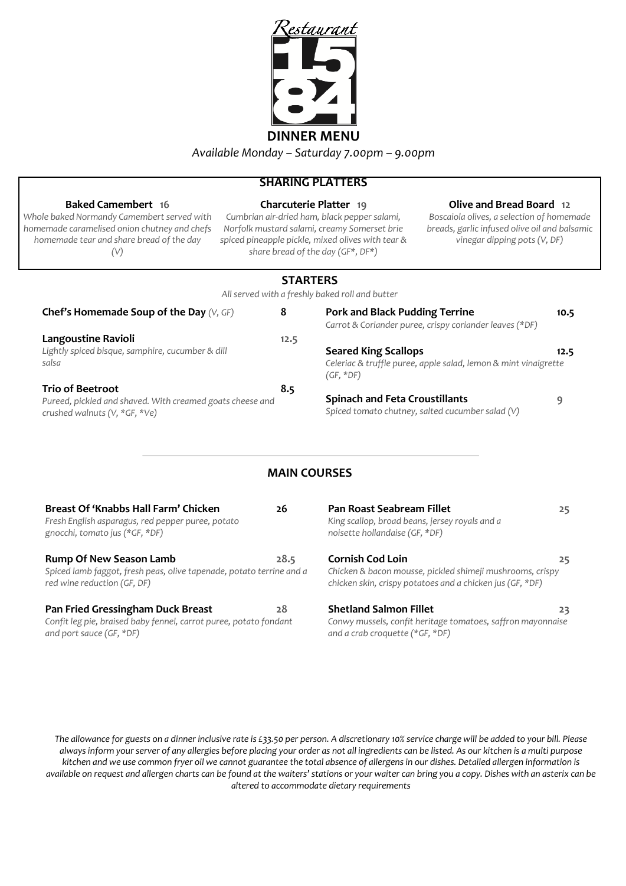

### **SHARING PLATTERS**

| <b>Baked Camembert</b> 16<br>Whole baked Normandy Camembert served with<br>homemade caramelised onion chutney and chefs<br>homemade tear and share bread of the day<br>(V) |    |                                       | <b>Charcuterie Platter 19</b><br>Cumbrian air-dried ham, black pepper salami,<br>Norfolk mustard salami, creamy Somerset brie<br>spiced pineapple pickle, mixed olives with tear &<br>share bread of the day (GF*, DF*) | Olive and Bread Board 12<br>Boscaiola olives, a selection of homemade<br>breads, garlic infused olive oil and balsamic<br>vinegar dipping pots (V, DF) |      |
|----------------------------------------------------------------------------------------------------------------------------------------------------------------------------|----|---------------------------------------|-------------------------------------------------------------------------------------------------------------------------------------------------------------------------------------------------------------------------|--------------------------------------------------------------------------------------------------------------------------------------------------------|------|
|                                                                                                                                                                            |    | <b>STARTERS</b>                       | All served with a freshly baked roll and butter                                                                                                                                                                         |                                                                                                                                                        |      |
| <b>Chef's Homemade Soup of the Day (V, GF)</b>                                                                                                                             | 8  |                                       | <b>Pork and Black Pudding Terrine</b>                                                                                                                                                                                   | Carrot & Coriander puree, crispy coriander leaves (*DF)                                                                                                | 10.5 |
| Langoustine Ravioli<br>Lightly spiced bisque, samphire, cucumber & dill<br>salsa                                                                                           |    | 12.5                                  | <b>Seared King Scallops</b><br>$(GF, *DF)$                                                                                                                                                                              | Celeriac & truffle puree, apple salad, lemon & mint vinaigrette                                                                                        | 12.5 |
| <b>Trio of Beetroot</b><br>8.5<br>Pureed, pickled and shaved. With creamed goats cheese and<br>crushed walnuts (V, *GF, *Ve)                                               |    | <b>Spinach and Feta Croustillants</b> | Spiced tomato chutney, salted cucumber salad (V)                                                                                                                                                                        | 9                                                                                                                                                      |      |
|                                                                                                                                                                            |    |                                       | <b>MAIN COURSES</b>                                                                                                                                                                                                     |                                                                                                                                                        |      |
| Breast Of 'Knabbs Hall Farm' Chicken<br>Fresh English asparagus, red pepper puree, potato<br>gnocchi, tomato jus (*GF, *DF)                                                | 26 |                                       | <b>Pan Roast Seabream Fillet</b><br>King scallop, broad beans, jersey royals and a<br>noisette hollandaise (GF, *DF)                                                                                                    |                                                                                                                                                        | 25   |

**Rump Of New Season Lamb 28.5** *Spiced lamb faggot, fresh peas, olive tapenade, potato terrine and a red wine reduction (GF, DF)*

# **Pan Fried Gressingham Duck Breast 28**

*Confit leg pie, braised baby fennel, carrot puree, potato fondant and port sauce (GF, \*DF)*

*noisette hollandaise (GF, \*DF)*

#### **Cornish Cod Loin 25**

*Chicken & bacon mousse, pickled shimeji mushrooms, crispy chicken skin, crispy potatoes and a chicken jus (GF, \*DF)*

### **Shetland Salmon Fillet** 23

*Conwy mussels, confit heritage tomatoes, saffron mayonnaise and a crab croquette (\*GF, \*DF)*

*The allowance for guests on a dinner inclusive rate is £33.50 per person. A discretionary 10% service charge will be added to your bill. Please always inform your server of any allergies before placing your order as not all ingredients can be listed. As our kitchen is a multi purpose kitchen and we use common fryer oil we cannot guarantee the total absence of allergens in our dishes. Detailed allergen information is available on request and allergen charts can be found at the waiters' stations or your waiter can bring you a copy. Dishes with an asterix can be altered to accommodate dietary requirements*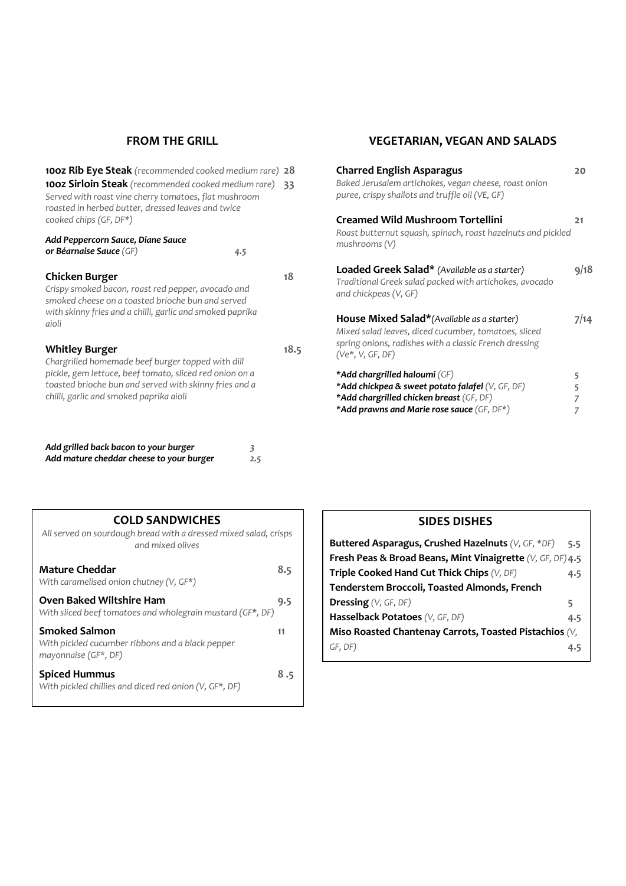## **FROM THE GRILL**

| <b>100z Rib Eye Steak</b> (recommended cooked medium rare)<br>100z Sirloin Steak (recommended cooked medium rare)<br>Served with roast vine cherry tomatoes, flat mushroom<br>roasted in herbed butter, dressed leaves and twice<br>cooked chips (GF, DF*) | 28<br>33 |
|------------------------------------------------------------------------------------------------------------------------------------------------------------------------------------------------------------------------------------------------------------|----------|
| Add Peppercorn Sauce, Diane Sauce<br>or Béarnaise Sauce (GF)<br>4.5                                                                                                                                                                                        |          |
| Chicken Burger<br>Crispy smoked bacon, roast red pepper, avocado and<br>smoked cheese on a toasted brioche bun and served<br>with skinny fries and a chilli, garlic and smoked paprika<br>aioli                                                            | 18       |
| <b>Whitley Burger</b><br>Chargrilled homemade beef burger topped with dill<br>pickle, gem lettuce, beef tomato, sliced red onion on a<br>toasted brioche bun and served with skinny fries and a<br>chilli, garlic and smoked paprika aioli                 | 18.5     |
| Add grilled back bacon to your burger<br>3<br>Add mature cheddar cheese to your burger<br>2.5                                                                                                                                                              |          |

# **VEGETARIAN, VEGAN AND SALADS**

| <b>Charred English Asparagus</b><br>Baked Jerusalem artichokes, vegan cheese, roast onion<br>puree, crispy shallots and truffle oil (VE, GF)                                                | 20          |
|---------------------------------------------------------------------------------------------------------------------------------------------------------------------------------------------|-------------|
| <b>Creamed Wild Mushroom Tortellini</b><br>Roast butternut squash, spinach, roast hazelnuts and pickled<br>mushrooms(V)                                                                     | 21          |
| Loaded Greek Salad* (Available as a starter)<br>Traditional Greek salad packed with artichokes, avocado<br>and chickpeas (V, GF)                                                            | 9/18        |
| <b>House Mixed Salad*</b> (Available as a starter)<br>Mixed salad leaves, diced cucumber, tomatoes, sliced<br>spring onions, radishes with a classic French dressing<br>$(Ve^*, V, GF, DF)$ | 7/14        |
| *Add chargrilled haloumi (GF)<br>*Add chickpea & sweet potato falafel (V, GF, DF)<br>*Add chargrilled chicken breast (GF, DF)<br>*Add prawns and Marie rose sauce (GF, DF*)                 | 5<br>5<br>7 |

| <b>COLD SANDWICHES</b><br>All served on sourdough bread with a dressed mixed salad, crisps<br>and mixed olives |     |
|----------------------------------------------------------------------------------------------------------------|-----|
| Mature Cheddar<br>With caramelised onion chutney $(V, GF^*)$                                                   | 8.5 |
| <b>Oven Baked Wiltshire Ham</b><br>With sliced beef tomatoes and wholegrain mustard (GF*, DF)                  | 9.5 |
| <b>Smoked Salmon</b><br>With pickled cucumber ribbons and a black pepper<br>mayonnaise (GF*, DF)               | 11  |
| <b>Spiced Hummus</b><br>With pickled chillies and diced red onion (V, GF*, DF)                                 | 8.5 |

| <b>SIDES DISHES</b>                                                     |     |
|-------------------------------------------------------------------------|-----|
| Buttered Asparagus, Crushed Hazelnuts (V, GF, *DF)                      | 5.5 |
| <b>Fresh Peas &amp; Broad Beans, Mint Vinaigrette</b> $(V, GF, DF)$ 4.5 |     |
| Triple Cooked Hand Cut Thick Chips (V, DF)                              | 4.5 |
| Tenderstem Broccoli, Toasted Almonds, French                            |     |
| <b>Dressing</b> (V, GF, DF)                                             | 5   |
| Hasselback Potatoes (V, GF, DF)                                         | 4.5 |
| Miso Roasted Chantenay Carrots, Toasted Pistachios $(V,$                |     |
| GF, DF)                                                                 | 4.5 |